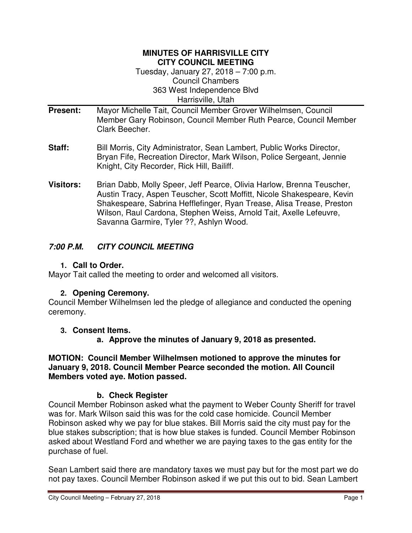#### **MINUTES OF HARRISVILLE CITY CITY COUNCIL MEETING**

Tuesday, January 27, 2018 – 7:00 p.m. Council Chambers 363 West Independence Blvd Harrisville, Utah

- **Present:** Mayor Michelle Tait, Council Member Grover Wilhelmsen, Council Member Gary Robinson, Council Member Ruth Pearce, Council Member Clark Beecher.
- **Staff:** Bill Morris, City Administrator, Sean Lambert, Public Works Director, Bryan Fife, Recreation Director, Mark Wilson, Police Sergeant, Jennie Knight, City Recorder, Rick Hill, Bailiff.
- **Visitors:** Brian Dabb, Molly Speer, Jeff Pearce, Olivia Harlow, Brenna Teuscher, Austin Tracy, Aspen Teuscher, Scott Moffitt, Nicole Shakespeare, Kevin Shakespeare, Sabrina Hefflefinger, Ryan Trease, Alisa Trease, Preston Wilson, Raul Cardona, Stephen Weiss, Arnold Tait, Axelle Lefeuvre, Savanna Garmire, Tyler ??, Ashlyn Wood.

## **7:00 P.M. CITY COUNCIL MEETING**

#### **1. Call to Order.**

Mayor Tait called the meeting to order and welcomed all visitors.

## **2. Opening Ceremony.**

Council Member Wilhelmsen led the pledge of allegiance and conducted the opening ceremony.

## **3. Consent Items.**

**a. Approve the minutes of January 9, 2018 as presented.** 

#### **MOTION: Council Member Wilhelmsen motioned to approve the minutes for January 9, 2018. Council Member Pearce seconded the motion. All Council Members voted aye. Motion passed.**

## **b. Check Register**

Council Member Robinson asked what the payment to Weber County Sheriff for travel was for. Mark Wilson said this was for the cold case homicide. Council Member Robinson asked why we pay for blue stakes. Bill Morris said the city must pay for the blue stakes subscription; that is how blue stakes is funded. Council Member Robinson asked about Westland Ford and whether we are paying taxes to the gas entity for the purchase of fuel.

Sean Lambert said there are mandatory taxes we must pay but for the most part we do not pay taxes. Council Member Robinson asked if we put this out to bid. Sean Lambert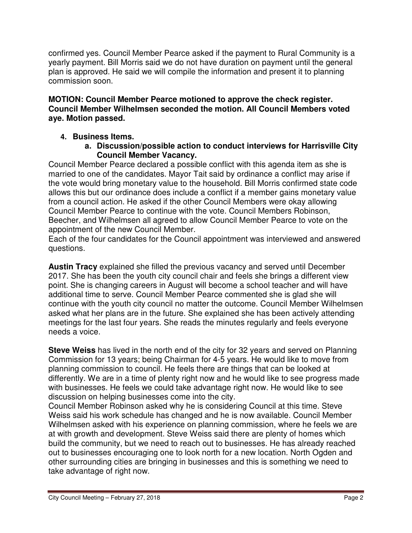confirmed yes. Council Member Pearce asked if the payment to Rural Community is a yearly payment. Bill Morris said we do not have duration on payment until the general plan is approved. He said we will compile the information and present it to planning commission soon.

#### **MOTION: Council Member Pearce motioned to approve the check register. Council Member Wilhelmsen seconded the motion. All Council Members voted aye. Motion passed.**

## **4. Business Items.**

**a. Discussion/possible action to conduct interviews for Harrisville City Council Member Vacancy.** 

Council Member Pearce declared a possible conflict with this agenda item as she is married to one of the candidates. Mayor Tait said by ordinance a conflict may arise if the vote would bring monetary value to the household. Bill Morris confirmed state code allows this but our ordinance does include a conflict if a member gains monetary value from a council action. He asked if the other Council Members were okay allowing Council Member Pearce to continue with the vote. Council Members Robinson, Beecher, and Wilhelmsen all agreed to allow Council Member Pearce to vote on the appointment of the new Council Member.

Each of the four candidates for the Council appointment was interviewed and answered questions.

**Austin Tracy** explained she filled the previous vacancy and served until December 2017. She has been the youth city council chair and feels she brings a different view point. She is changing careers in August will become a school teacher and will have additional time to serve. Council Member Pearce commented she is glad she will continue with the youth city council no matter the outcome. Council Member Wilhelmsen asked what her plans are in the future. She explained she has been actively attending meetings for the last four years. She reads the minutes regularly and feels everyone needs a voice.

**Steve Weiss** has lived in the north end of the city for 32 years and served on Planning Commission for 13 years; being Chairman for 4-5 years. He would like to move from planning commission to council. He feels there are things that can be looked at differently. We are in a time of plenty right now and he would like to see progress made with businesses. He feels we could take advantage right now. He would like to see discussion on helping businesses come into the city.

Council Member Robinson asked why he is considering Council at this time. Steve Weiss said his work schedule has changed and he is now available. Council Member Wilhelmsen asked with his experience on planning commission, where he feels we are at with growth and development. Steve Weiss said there are plenty of homes which build the community, but we need to reach out to businesses. He has already reached out to businesses encouraging one to look north for a new location. North Ogden and other surrounding cities are bringing in businesses and this is something we need to take advantage of right now.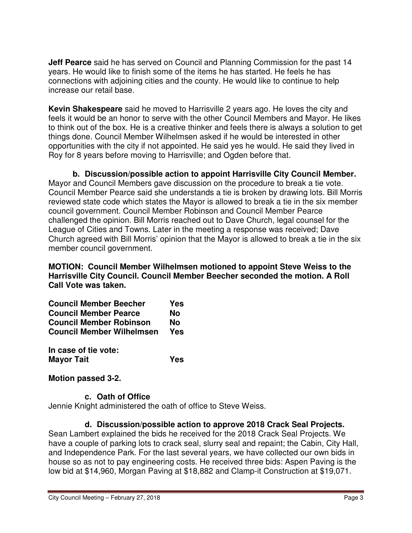**Jeff Pearce** said he has served on Council and Planning Commission for the past 14 years. He would like to finish some of the items he has started. He feels he has connections with adjoining cities and the county. He would like to continue to help increase our retail base.

**Kevin Shakespeare** said he moved to Harrisville 2 years ago. He loves the city and feels it would be an honor to serve with the other Council Members and Mayor. He likes to think out of the box. He is a creative thinker and feels there is always a solution to get things done. Council Member Wilhelmsen asked if he would be interested in other opportunities with the city if not appointed. He said yes he would. He said they lived in Roy for 8 years before moving to Harrisville; and Ogden before that.

**b. Discussion/possible action to appoint Harrisville City Council Member.** Mayor and Council Members gave discussion on the procedure to break a tie vote. Council Member Pearce said she understands a tie is broken by drawing lots. Bill Morris reviewed state code which states the Mayor is allowed to break a tie in the six member council government. Council Member Robinson and Council Member Pearce challenged the opinion. Bill Morris reached out to Dave Church, legal counsel for the League of Cities and Towns. Later in the meeting a response was received; Dave Church agreed with Bill Morris' opinion that the Mayor is allowed to break a tie in the six member council government.

**MOTION: Council Member Wilhelmsen motioned to appoint Steve Weiss to the Harrisville City Council. Council Member Beecher seconded the motion. A Roll Call Vote was taken.** 

|                              | <b>Council Member Beecher</b>    | Yes |
|------------------------------|----------------------------------|-----|
| <b>Council Member Pearce</b> |                                  | Nο  |
|                              | <b>Council Member Robinson</b>   | Nο  |
|                              | <b>Council Member Wilhelmsen</b> | Yes |

**In case of tie vote: Mayor Tait Yes** 

**Motion passed 3-2.** 

## **c. Oath of Office**

Jennie Knight administered the oath of office to Steve Weiss.

## **d. Discussion/possible action to approve 2018 Crack Seal Projects.**

Sean Lambert explained the bids he received for the 2018 Crack Seal Projects. We have a couple of parking lots to crack seal, slurry seal and repaint; the Cabin, City Hall, and Independence Park. For the last several years, we have collected our own bids in house so as not to pay engineering costs. He received three bids: Aspen Paving is the low bid at \$14,960, Morgan Paving at \$18,882 and Clamp-it Construction at \$19,071.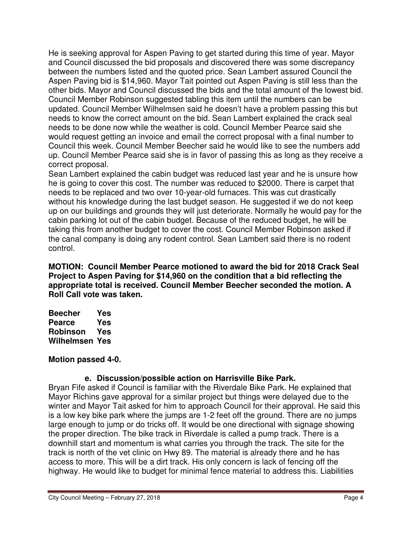He is seeking approval for Aspen Paving to get started during this time of year. Mayor and Council discussed the bid proposals and discovered there was some discrepancy between the numbers listed and the quoted price. Sean Lambert assured Council the Aspen Paving bid is \$14,960. Mayor Tait pointed out Aspen Paving is still less than the other bids. Mayor and Council discussed the bids and the total amount of the lowest bid. Council Member Robinson suggested tabling this item until the numbers can be updated. Council Member Wilhelmsen said he doesn't have a problem passing this but needs to know the correct amount on the bid. Sean Lambert explained the crack seal needs to be done now while the weather is cold. Council Member Pearce said she would request getting an invoice and email the correct proposal with a final number to Council this week. Council Member Beecher said he would like to see the numbers add up. Council Member Pearce said she is in favor of passing this as long as they receive a correct proposal.

Sean Lambert explained the cabin budget was reduced last year and he is unsure how he is going to cover this cost. The number was reduced to \$2000. There is carpet that needs to be replaced and two over 10-year-old furnaces. This was cut drastically without his knowledge during the last budget season. He suggested if we do not keep up on our buildings and grounds they will just deteriorate. Normally he would pay for the cabin parking lot out of the cabin budget. Because of the reduced budget, he will be taking this from another budget to cover the cost. Council Member Robinson asked if the canal company is doing any rodent control. Sean Lambert said there is no rodent control.

**MOTION: Council Member Pearce motioned to award the bid for 2018 Crack Seal Project to Aspen Paving for \$14,960 on the condition that a bid reflecting the appropriate total is received. Council Member Beecher seconded the motion. A Roll Call vote was taken.** 

**Beecher Yes Pearce Yes Robinson Yes Wilhelmsen Yes** 

## **Motion passed 4-0.**

## **e. Discussion/possible action on Harrisville Bike Park.**

Bryan Fife asked if Council is familiar with the Riverdale Bike Park. He explained that Mayor Richins gave approval for a similar project but things were delayed due to the winter and Mayor Tait asked for him to approach Council for their approval. He said this is a low key bike park where the jumps are 1-2 feet off the ground. There are no jumps large enough to jump or do tricks off. It would be one directional with signage showing the proper direction. The bike track in Riverdale is called a pump track. There is a downhill start and momentum is what carries you through the track. The site for the track is north of the vet clinic on Hwy 89. The material is already there and he has access to more. This will be a dirt track. His only concern is lack of fencing off the highway. He would like to budget for minimal fence material to address this. Liabilities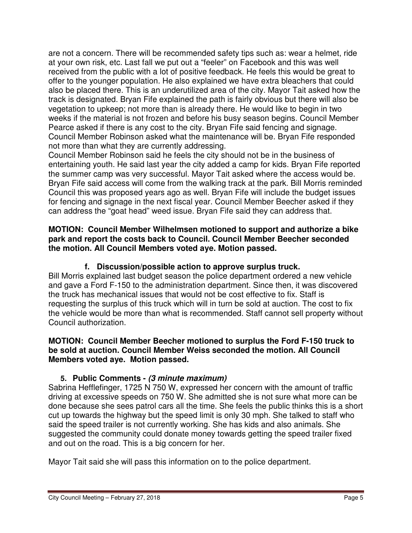are not a concern. There will be recommended safety tips such as: wear a helmet, ride at your own risk, etc. Last fall we put out a "feeler" on Facebook and this was well received from the public with a lot of positive feedback. He feels this would be great to offer to the younger population. He also explained we have extra bleachers that could also be placed there. This is an underutilized area of the city. Mayor Tait asked how the track is designated. Bryan Fife explained the path is fairly obvious but there will also be vegetation to upkeep; not more than is already there. He would like to begin in two weeks if the material is not frozen and before his busy season begins. Council Member Pearce asked if there is any cost to the city. Bryan Fife said fencing and signage. Council Member Robinson asked what the maintenance will be. Bryan Fife responded not more than what they are currently addressing.

Council Member Robinson said he feels the city should not be in the business of entertaining youth. He said last year the city added a camp for kids. Bryan Fife reported the summer camp was very successful. Mayor Tait asked where the access would be. Bryan Fife said access will come from the walking track at the park. Bill Morris reminded Council this was proposed years ago as well. Bryan Fife will include the budget issues for fencing and signage in the next fiscal year. Council Member Beecher asked if they can address the "goat head" weed issue. Bryan Fife said they can address that.

#### **MOTION: Council Member Wilhelmsen motioned to support and authorize a bike park and report the costs back to Council. Council Member Beecher seconded the motion. All Council Members voted aye. Motion passed.**

## **f. Discussion/possible action to approve surplus truck.**

Bill Morris explained last budget season the police department ordered a new vehicle and gave a Ford F-150 to the administration department. Since then, it was discovered the truck has mechanical issues that would not be cost effective to fix. Staff is requesting the surplus of this truck which will in turn be sold at auction. The cost to fix the vehicle would be more than what is recommended. Staff cannot sell property without Council authorization.

#### **MOTION: Council Member Beecher motioned to surplus the Ford F-150 truck to be sold at auction. Council Member Weiss seconded the motion. All Council Members voted aye. Motion passed.**

## **5. Public Comments - (3 minute maximum)**

Sabrina Hefflefinger, 1725 N 750 W, expressed her concern with the amount of traffic driving at excessive speeds on 750 W. She admitted she is not sure what more can be done because she sees patrol cars all the time. She feels the public thinks this is a short cut up towards the highway but the speed limit is only 30 mph. She talked to staff who said the speed trailer is not currently working. She has kids and also animals. She suggested the community could donate money towards getting the speed trailer fixed and out on the road. This is a big concern for her.

Mayor Tait said she will pass this information on to the police department.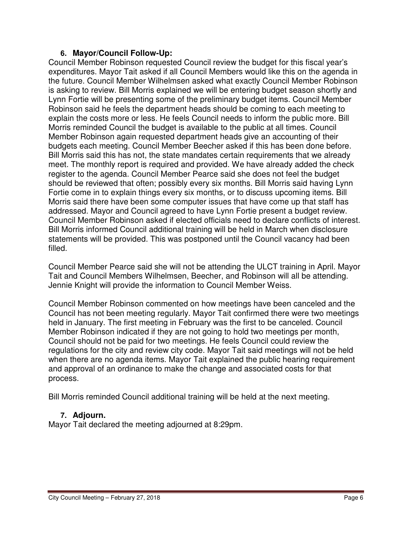#### **6. Mayor/Council Follow-Up:**

Council Member Robinson requested Council review the budget for this fiscal year's expenditures. Mayor Tait asked if all Council Members would like this on the agenda in the future. Council Member Wilhelmsen asked what exactly Council Member Robinson is asking to review. Bill Morris explained we will be entering budget season shortly and Lynn Fortie will be presenting some of the preliminary budget items. Council Member Robinson said he feels the department heads should be coming to each meeting to explain the costs more or less. He feels Council needs to inform the public more. Bill Morris reminded Council the budget is available to the public at all times. Council Member Robinson again requested department heads give an accounting of their budgets each meeting. Council Member Beecher asked if this has been done before. Bill Morris said this has not, the state mandates certain requirements that we already meet. The monthly report is required and provided. We have already added the check register to the agenda. Council Member Pearce said she does not feel the budget should be reviewed that often; possibly every six months. Bill Morris said having Lynn Fortie come in to explain things every six months, or to discuss upcoming items. Bill Morris said there have been some computer issues that have come up that staff has addressed. Mayor and Council agreed to have Lynn Fortie present a budget review. Council Member Robinson asked if elected officials need to declare conflicts of interest. Bill Morris informed Council additional training will be held in March when disclosure statements will be provided. This was postponed until the Council vacancy had been filled.

Council Member Pearce said she will not be attending the ULCT training in April. Mayor Tait and Council Members Wilhelmsen, Beecher, and Robinson will all be attending. Jennie Knight will provide the information to Council Member Weiss.

Council Member Robinson commented on how meetings have been canceled and the Council has not been meeting regularly. Mayor Tait confirmed there were two meetings held in January. The first meeting in February was the first to be canceled. Council Member Robinson indicated if they are not going to hold two meetings per month, Council should not be paid for two meetings. He feels Council could review the regulations for the city and review city code. Mayor Tait said meetings will not be held when there are no agenda items. Mayor Tait explained the public hearing requirement and approval of an ordinance to make the change and associated costs for that process.

Bill Morris reminded Council additional training will be held at the next meeting.

## **7. Adjourn.**

Mayor Tait declared the meeting adjourned at 8:29pm.